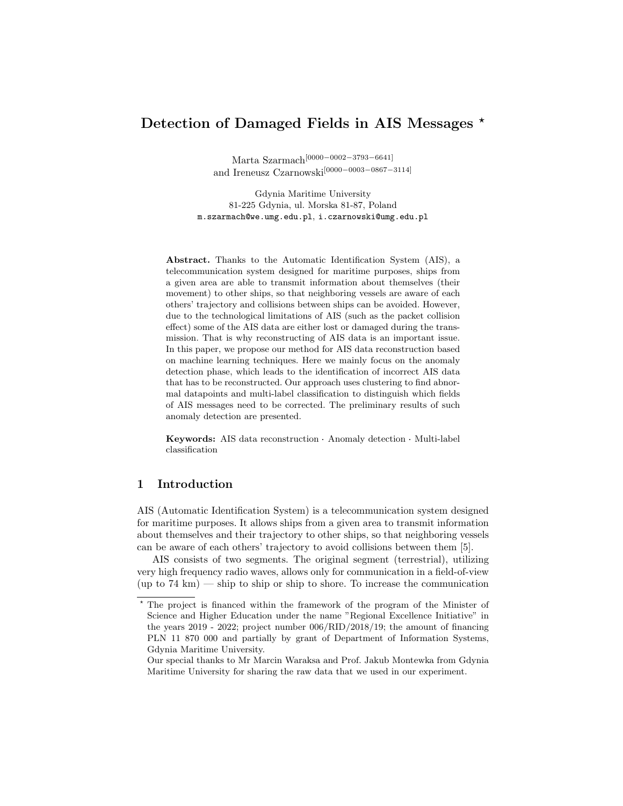# Detection of Damaged Fields in AIS Messages  $\star$

Marta Szarmach[0000−0002−3793−6641] and Ireneusz Czarnowski $^{[0000-0003-0867-3114]}$ 

Gdynia Maritime University 81-225 Gdynia, ul. Morska 81-87, Poland m.szarmach@we.umg.edu.pl, i.czarnowski@umg.edu.pl

Abstract. Thanks to the Automatic Identification System (AIS), a telecommunication system designed for maritime purposes, ships from a given area are able to transmit information about themselves (their movement) to other ships, so that neighboring vessels are aware of each others' trajectory and collisions between ships can be avoided. However, due to the technological limitations of AIS (such as the packet collision effect) some of the AIS data are either lost or damaged during the transmission. That is why reconstructing of AIS data is an important issue. In this paper, we propose our method for AIS data reconstruction based on machine learning techniques. Here we mainly focus on the anomaly detection phase, which leads to the identification of incorrect AIS data that has to be reconstructed. Our approach uses clustering to find abnormal datapoints and multi-label classification to distinguish which fields of AIS messages need to be corrected. The preliminary results of such anomaly detection are presented.

Keywords: AIS data reconstruction · Anomaly detection · Multi-label classification

## 1 Introduction

AIS (Automatic Identification System) is a telecommunication system designed for maritime purposes. It allows ships from a given area to transmit information about themselves and their trajectory to other ships, so that neighboring vessels can be aware of each others' trajectory to avoid collisions between them [5].

AIS consists of two segments. The original segment (terrestrial), utilizing very high frequency radio waves, allows only for communication in a field-of-view  $(\text{up to 74 km}) - \text{ship to ship or ship to shore. To increase the communication$ 

<sup>?</sup> The project is financed within the framework of the program of the Minister of Science and Higher Education under the name "Regional Excellence Initiative" in the years 2019 - 2022; project number 006/RID/2018/19; the amount of financing PLN 11 870 000 and partially by grant of Department of Information Systems, Gdynia Maritime University.

Our special thanks to Mr Marcin Waraksa and Prof. Jakub Montewka from Gdynia Maritime University for sharing the raw data that we used in our experiment.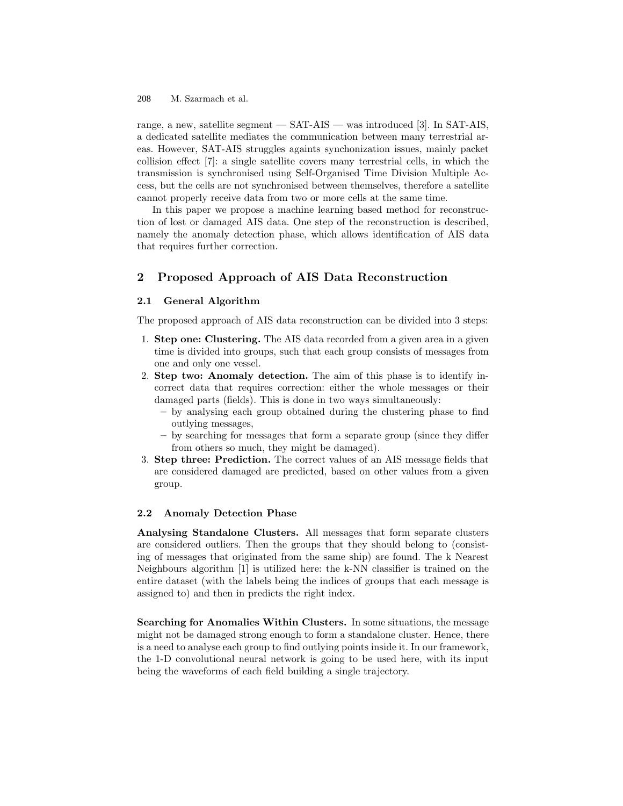M. Szarmach et al. 208

range, a new, satellite segment — SAT-AIS — was introduced [3]. In SAT-AIS, a dedicated satellite mediates the communication between many terrestrial areas. However, SAT-AIS struggles againts synchonization issues, mainly packet collision effect [7]: a single satellite covers many terrestrial cells, in which the transmission is synchronised using Self-Organised Time Division Multiple Access, but the cells are not synchronised between themselves, therefore a satellite cannot properly receive data from two or more cells at the same time.

In this paper we propose a machine learning based method for reconstruction of lost or damaged AIS data. One step of the reconstruction is described, namely the anomaly detection phase, which allows identification of AIS data that requires further correction.

## 2 Proposed Approach of AIS Data Reconstruction

### 2.1 General Algorithm

The proposed approach of AIS data reconstruction can be divided into 3 steps:

- 1. Step one: Clustering. The AIS data recorded from a given area in a given time is divided into groups, such that each group consists of messages from one and only one vessel.
- 2. Step two: Anomaly detection. The aim of this phase is to identify incorrect data that requires correction: either the whole messages or their damaged parts (fields). This is done in two ways simultaneously:
	- by analysing each group obtained during the clustering phase to find outlying messages,
	- by searching for messages that form a separate group (since they differ from others so much, they might be damaged).
- 3. Step three: Prediction. The correct values of an AIS message fields that are considered damaged are predicted, based on other values from a given group.

### 2.2 Anomaly Detection Phase

Analysing Standalone Clusters. All messages that form separate clusters are considered outliers. Then the groups that they should belong to (consisting of messages that originated from the same ship) are found. The k Nearest Neighbours algorithm [1] is utilized here: the k-NN classifier is trained on the entire dataset (with the labels being the indices of groups that each message is assigned to) and then in predicts the right index.

Searching for Anomalies Within Clusters. In some situations, the message might not be damaged strong enough to form a standalone cluster. Hence, there is a need to analyse each group to find outlying points inside it. In our framework, the 1-D convolutional neural network is going to be used here, with its input being the waveforms of each field building a single trajectory.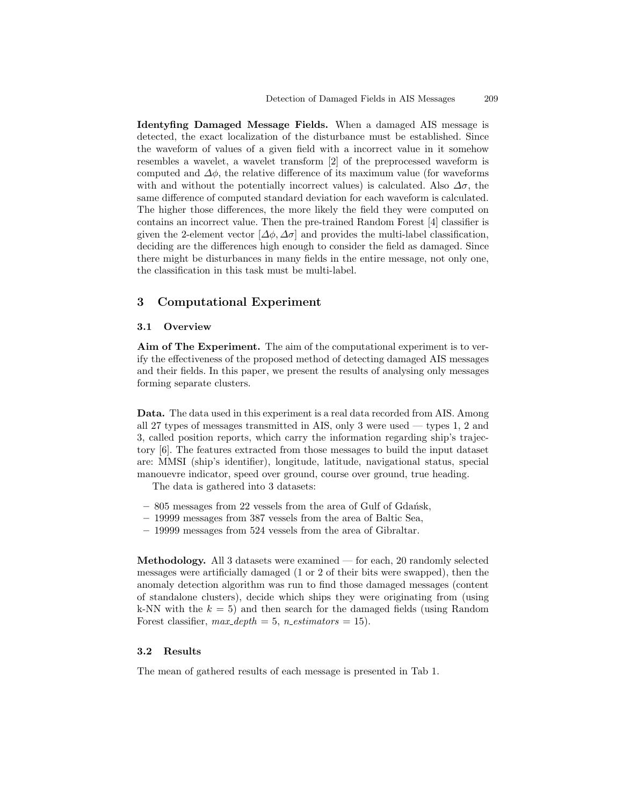Identyfing Damaged Message Fields. When a damaged AIS message is detected, the exact localization of the disturbance must be established. Since the waveform of values of a given field with a incorrect value in it somehow resembles a wavelet, a wavelet transform [2] of the preprocessed waveform is computed and  $\Delta\phi$ , the relative difference of its maximum value (for waveforms with and without the potentially incorrect values) is calculated. Also  $\Delta \sigma$ , the same difference of computed standard deviation for each waveform is calculated. The higher those differences, the more likely the field they were computed on contains an incorrect value. Then the pre-trained Random Forest [4] classifier is given the 2-element vector  $[\Delta \phi, \Delta \sigma]$  and provides the multi-label classification, deciding are the differences high enough to consider the field as damaged. Since there might be disturbances in many fields in the entire message, not only one, the classification in this task must be multi-label.

### 3 Computational Experiment

#### 3.1 Overview

Aim of The Experiment. The aim of the computational experiment is to verify the effectiveness of the proposed method of detecting damaged AIS messages and their fields. In this paper, we present the results of analysing only messages forming separate clusters.

Data. The data used in this experiment is a real data recorded from AIS. Among all 27 types of messages transmitted in AIS, only 3 were used — types 1, 2 and 3, called position reports, which carry the information regarding ship's trajectory [6]. The features extracted from those messages to build the input dataset are: MMSI (ship's identifier), longitude, latitude, navigational status, special manouevre indicator, speed over ground, course over ground, true heading.

The data is gathered into 3 datasets:

- $-805$  messages from 22 vessels from the area of Gulf of Gdańsk,
- 19999 messages from 387 vessels from the area of Baltic Sea,
- 19999 messages from 524 vessels from the area of Gibraltar.

Methodology. All 3 datasets were examined — for each, 20 randomly selected messages were artificially damaged (1 or 2 of their bits were swapped), then the anomaly detection algorithm was run to find those damaged messages (content of standalone clusters), decide which ships they were originating from (using k-NN with the  $k = 5$ ) and then search for the damaged fields (using Random Forest classifier,  $max\_{depth} = 5$ ,  $n\_{estimators} = 15$ ).

### 3.2 Results

The mean of gathered results of each message is presented in Tab 1.